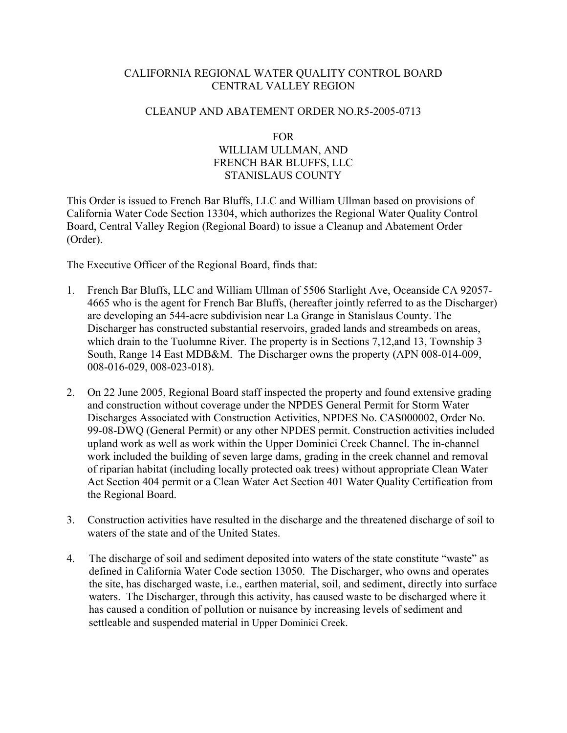# CALIFORNIA REGIONAL WATER QUALITY CONTROL BOARD CENTRAL VALLEY REGION

## CLEANUP AND ABATEMENT ORDER NO.R5-2005-0713

## FOR WILLIAM ULLMAN, AND FRENCH BAR BLUFFS, LLC STANISLAUS COUNTY

This Order is issued to French Bar Bluffs, LLC and William Ullman based on provisions of California Water Code Section 13304, which authorizes the Regional Water Quality Control Board, Central Valley Region (Regional Board) to issue a Cleanup and Abatement Order (Order).

The Executive Officer of the Regional Board, finds that:

- 1. French Bar Bluffs, LLC and William Ullman of 5506 Starlight Ave, Oceanside CA 92057- 4665 who is the agent for French Bar Bluffs, (hereafter jointly referred to as the Discharger) are developing an 544-acre subdivision near La Grange in Stanislaus County. The Discharger has constructed substantial reservoirs, graded lands and streambeds on areas, which drain to the Tuolumne River. The property is in Sections 7,12, and 13, Township 3 South, Range 14 East MDB&M. The Discharger owns the property (APN 008-014-009, 008-016-029, 008-023-018).
- 2. On 22 June 2005, Regional Board staff inspected the property and found extensive grading and construction without coverage under the NPDES General Permit for Storm Water Discharges Associated with Construction Activities, NPDES No. CAS000002, Order No. 99-08-DWQ (General Permit) or any other NPDES permit. Construction activities included upland work as well as work within the Upper Dominici Creek Channel. The in-channel work included the building of seven large dams, grading in the creek channel and removal of riparian habitat (including locally protected oak trees) without appropriate Clean Water Act Section 404 permit or a Clean Water Act Section 401 Water Quality Certification from the Regional Board.
- 3. Construction activities have resulted in the discharge and the threatened discharge of soil to waters of the state and of the United States.
- 4. The discharge of soil and sediment deposited into waters of the state constitute "waste" as defined in California Water Code section 13050. The Discharger, who owns and operates the site, has discharged waste, i.e., earthen material, soil, and sediment, directly into surface waters. The Discharger, through this activity, has caused waste to be discharged where it has caused a condition of pollution or nuisance by increasing levels of sediment and settleable and suspended material in Upper Dominici Creek.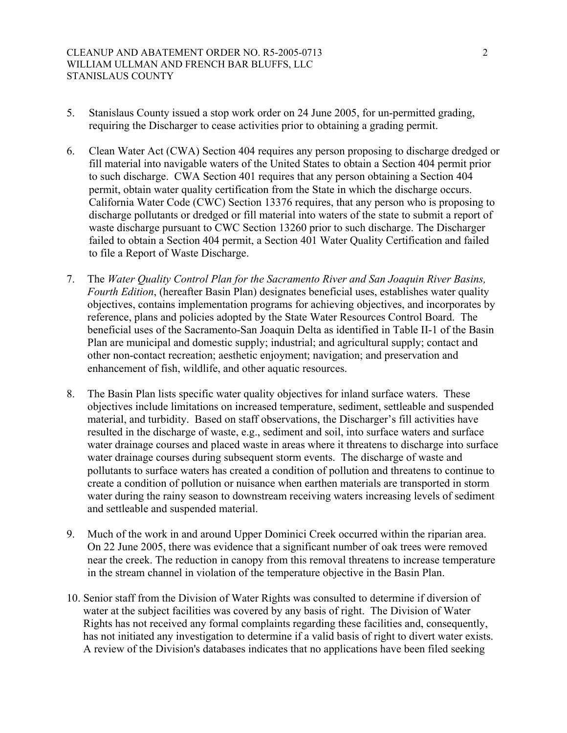- 5. Stanislaus County issued a stop work order on 24 June 2005, for un-permitted grading, requiring the Discharger to cease activities prior to obtaining a grading permit.
- 6. Clean Water Act (CWA) Section 404 requires any person proposing to discharge dredged or fill material into navigable waters of the United States to obtain a Section 404 permit prior to such discharge. CWA Section 401 requires that any person obtaining a Section 404 permit, obtain water quality certification from the State in which the discharge occurs. California Water Code (CWC) Section 13376 requires, that any person who is proposing to discharge pollutants or dredged or fill material into waters of the state to submit a report of waste discharge pursuant to CWC Section 13260 prior to such discharge. The Discharger failed to obtain a Section 404 permit, a Section 401 Water Quality Certification and failed to file a Report of Waste Discharge.
- 7. The *Water Quality Control Plan for the Sacramento River and San Joaquin River Basins, Fourth Edition*, (hereafter Basin Plan) designates beneficial uses, establishes water quality objectives, contains implementation programs for achieving objectives, and incorporates by reference, plans and policies adopted by the State Water Resources Control Board. The beneficial uses of the Sacramento-San Joaquin Delta as identified in Table II-1 of the Basin Plan are municipal and domestic supply; industrial; and agricultural supply; contact and other non-contact recreation; aesthetic enjoyment; navigation; and preservation and enhancement of fish, wildlife, and other aquatic resources.
- 8. The Basin Plan lists specific water quality objectives for inland surface waters. These objectives include limitations on increased temperature, sediment, settleable and suspended material, and turbidity. Based on staff observations, the Discharger's fill activities have resulted in the discharge of waste, e.g., sediment and soil, into surface waters and surface water drainage courses and placed waste in areas where it threatens to discharge into surface water drainage courses during subsequent storm events. The discharge of waste and pollutants to surface waters has created a condition of pollution and threatens to continue to create a condition of pollution or nuisance when earthen materials are transported in storm water during the rainy season to downstream receiving waters increasing levels of sediment and settleable and suspended material.
- 9. Much of the work in and around Upper Dominici Creek occurred within the riparian area. On 22 June 2005, there was evidence that a significant number of oak trees were removed near the creek. The reduction in canopy from this removal threatens to increase temperature in the stream channel in violation of the temperature objective in the Basin Plan.
- 10. Senior staff from the Division of Water Rights was consulted to determine if diversion of water at the subject facilities was covered by any basis of right. The Division of Water Rights has not received any formal complaints regarding these facilities and, consequently, has not initiated any investigation to determine if a valid basis of right to divert water exists. A review of the Division's databases indicates that no applications have been filed seeking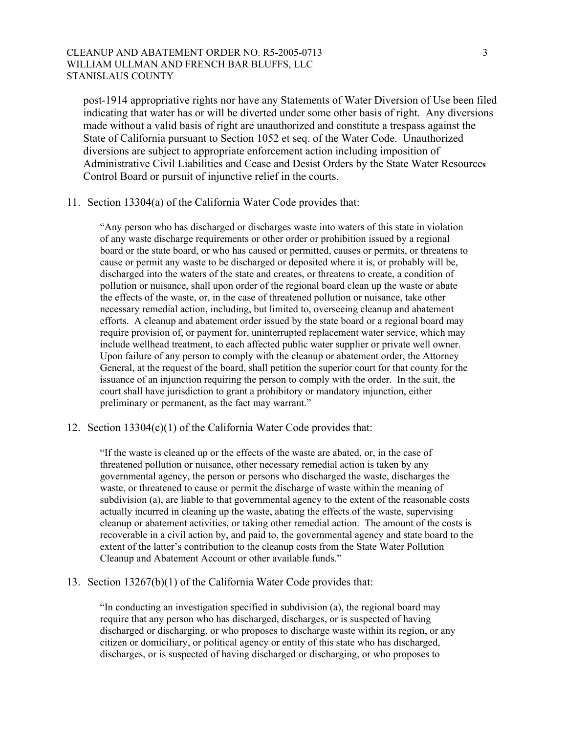## CLEANUP AND ABATEMENT ORDER NO. R5-2005-0713 3 WILLIAM ULLMAN AND FRENCH BAR BLUFFS, LLC STANISLAUS COUNTY

post-1914 appropriative rights nor have any Statements of Water Diversion of Use been filed indicating that water has or will be diverted under some other basis of right. Any diversions made without a valid basis of right are unauthorized and constitute a trespass against the State of California pursuant to Section 1052 et seq. of the Water Code. Unauthorized diversions are subject to appropriate enforcement action including imposition of Administrative Civil Liabilities and Cease and Desist Orders by the State Water Resource**s**  Control Board or pursuit of injunctive relief in the courts.

#### 11. Section 13304(a) of the California Water Code provides that:

"Any person who has discharged or discharges waste into waters of this state in violation of any waste discharge requirements or other order or prohibition issued by a regional board or the state board, or who has caused or permitted, causes or permits, or threatens to cause or permit any waste to be discharged or deposited where it is, or probably will be, discharged into the waters of the state and creates, or threatens to create, a condition of pollution or nuisance, shall upon order of the regional board clean up the waste or abate the effects of the waste, or, in the case of threatened pollution or nuisance, take other necessary remedial action, including, but limited to, overseeing cleanup and abatement efforts. A cleanup and abatement order issued by the state board or a regional board may require provision of, or payment for, uninterrupted replacement water service, which may include wellhead treatment, to each affected public water supplier or private well owner. Upon failure of any person to comply with the cleanup or abatement order, the Attorney General, at the request of the board, shall petition the superior court for that county for the issuance of an injunction requiring the person to comply with the order. In the suit, the court shall have jurisdiction to grant a prohibitory or mandatory injunction, either preliminary or permanent, as the fact may warrant."

## 12. Section 13304(c)(1) of the California Water Code provides that:

"If the waste is cleaned up or the effects of the waste are abated, or, in the case of threatened pollution or nuisance, other necessary remedial action is taken by any governmental agency, the person or persons who discharged the waste, discharges the waste, or threatened to cause or permit the discharge of waste within the meaning of subdivision (a), are liable to that governmental agency to the extent of the reasonable costs actually incurred in cleaning up the waste, abating the effects of the waste, supervising cleanup or abatement activities, or taking other remedial action. The amount of the costs is recoverable in a civil action by, and paid to, the governmental agency and state board to the extent of the latter's contribution to the cleanup costs from the State Water Pollution Cleanup and Abatement Account or other available funds."

## 13. Section 13267(b)(1) of the California Water Code provides that:

"In conducting an investigation specified in subdivision (a), the regional board may require that any person who has discharged, discharges, or is suspected of having discharged or discharging, or who proposes to discharge waste within its region, or any citizen or domiciliary, or political agency or entity of this state who has discharged, discharges, or is suspected of having discharged or discharging, or who proposes to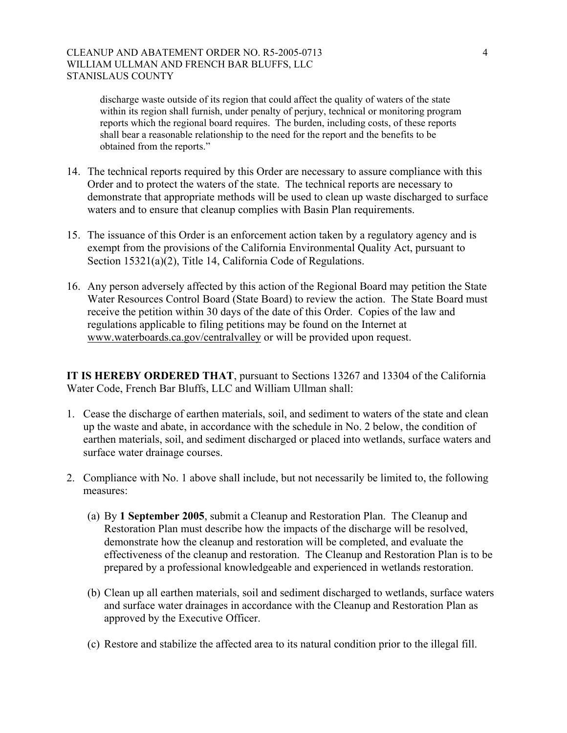## CLEANUP AND ABATEMENT ORDER NO. R5-2005-0713 4 WILLIAM ULLMAN AND FRENCH BAR BLUFFS, LLC STANISLAUS COUNTY

discharge waste outside of its region that could affect the quality of waters of the state within its region shall furnish, under penalty of perjury, technical or monitoring program reports which the regional board requires. The burden, including costs, of these reports shall bear a reasonable relationship to the need for the report and the benefits to be obtained from the reports."

- 14. The technical reports required by this Order are necessary to assure compliance with this Order and to protect the waters of the state. The technical reports are necessary to demonstrate that appropriate methods will be used to clean up waste discharged to surface waters and to ensure that cleanup complies with Basin Plan requirements.
- 15. The issuance of this Order is an enforcement action taken by a regulatory agency and is exempt from the provisions of the California Environmental Quality Act, pursuant to Section 15321(a)(2), Title 14, California Code of Regulations.
- 16. Any person adversely affected by this action of the Regional Board may petition the State Water Resources Control Board (State Board) to review the action. The State Board must receive the petition within 30 days of the date of this Order. Copies of the law and regulations applicable to filing petitions may be found on the Internet at www.waterboards.ca.gov/centralvalley or will be provided upon request.

**IT IS HEREBY ORDERED THAT**, pursuant to Sections 13267 and 13304 of the California Water Code, French Bar Bluffs, LLC and William Ullman shall:

- 1. Cease the discharge of earthen materials, soil, and sediment to waters of the state and clean up the waste and abate, in accordance with the schedule in No. 2 below, the condition of earthen materials, soil, and sediment discharged or placed into wetlands, surface waters and surface water drainage courses.
- 2. Compliance with No. 1 above shall include, but not necessarily be limited to, the following measures:
	- (a) By **1 September 2005**, submit a Cleanup and Restoration Plan. The Cleanup and Restoration Plan must describe how the impacts of the discharge will be resolved, demonstrate how the cleanup and restoration will be completed, and evaluate the effectiveness of the cleanup and restoration. The Cleanup and Restoration Plan is to be prepared by a professional knowledgeable and experienced in wetlands restoration.
	- (b) Clean up all earthen materials, soil and sediment discharged to wetlands, surface waters and surface water drainages in accordance with the Cleanup and Restoration Plan as approved by the Executive Officer.
	- (c) Restore and stabilize the affected area to its natural condition prior to the illegal fill.